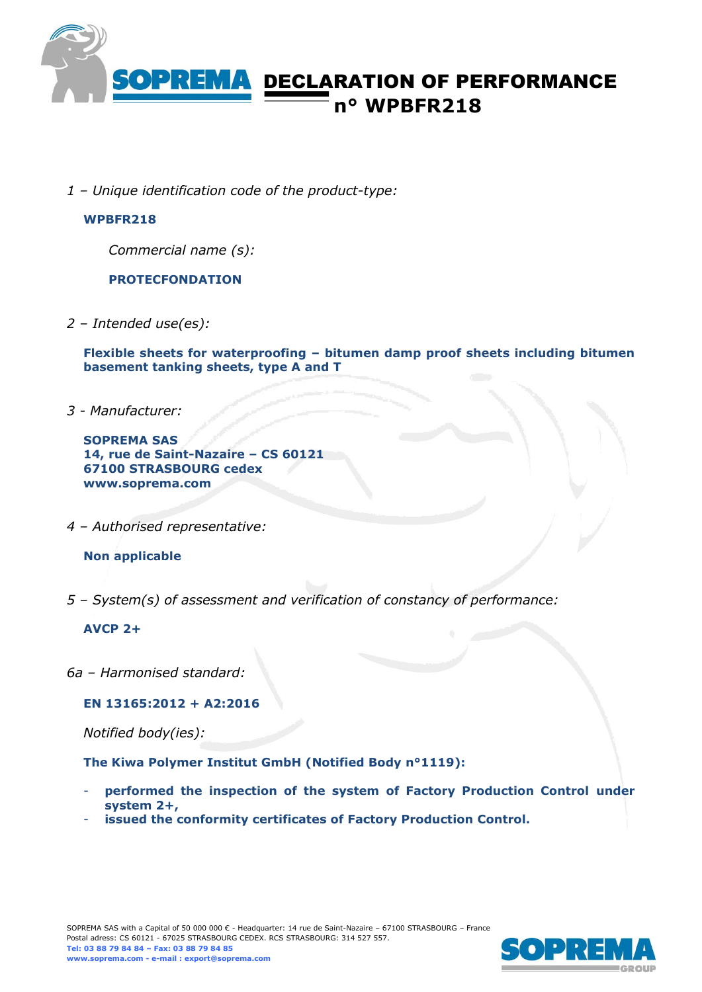

# DECLARATION OF PERFORMANCE **n° WPBFR218**

*1 – Unique identification code of the product-type:*

### **WPBFR218**

*Commercial name (s):*

**PROTECFONDATION**

*2 – Intended use(es):*

**Flexible sheets for waterproofing – bitumen damp proof sheets including bitumen basement tanking sheets, type A and T**

*3 - Manufacturer:*

**SOPREMA SAS 14, rue de Saint-Nazaire – CS 60121 67100 STRASBOURG cedex www.soprema.com**

*4 – Authorised representative:*

#### **Non applicable**

*5 – System(s) of assessment and verification of constancy of performance:*

#### **AVCP 2+**

*6a – Harmonised standard:*

**EN 13165:2012 + A2:2016**

*Notified body(ies):*

**The Kiwa Polymer Institut GmbH (Notified Body n°1119):**

- **performed the inspection of the system of Factory Production Control under system 2+,**
- **issued the conformity certificates of Factory Production Control.**